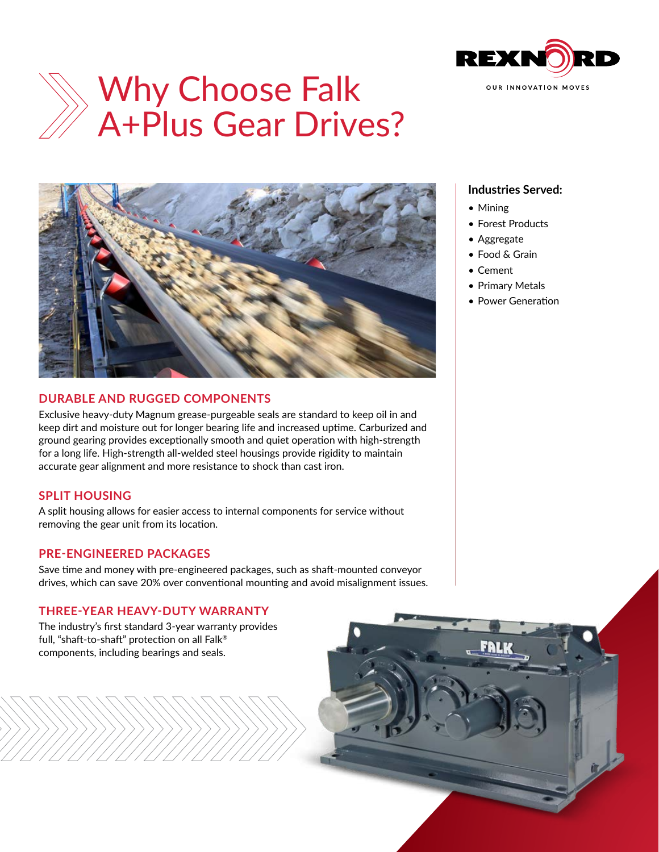

# Why Choose Falk A+Plus Gear Drives?



## **DURABLE AND RUGGED COMPONENTS**

Exclusive heavy-duty Magnum grease-purgeable seals are standard to keep oil in and keep dirt and moisture out for longer bearing life and increased uptime. Carburized and ground gearing provides exceptionally smooth and quiet operation with high-strength for a long life. High-strength all-welded steel housings provide rigidity to maintain accurate gear alignment and more resistance to shock than cast iron.

## **SPLIT HOUSING**

A split housing allows for easier access to internal components for service without removing the gear unit from its location.

## **PRE-ENGINEERED PACKAGES**

Save time and money with pre-engineered packages, such as shaft-mounted conveyor drives, which can save 20% over conventional mounting and avoid misalignment issues.

## **THREE-YEAR HEAVY-DUTY WARRANTY**

The industry's first standard 3-year warranty provides full, "shaft-to-shaft" protection on all Falk® components, including bearings and seals.

## **Industries Served:**

- Mining
- Forest Products
- Aggregate
- Food & Grain
- Cement
- Primary Metals
- Power Generation